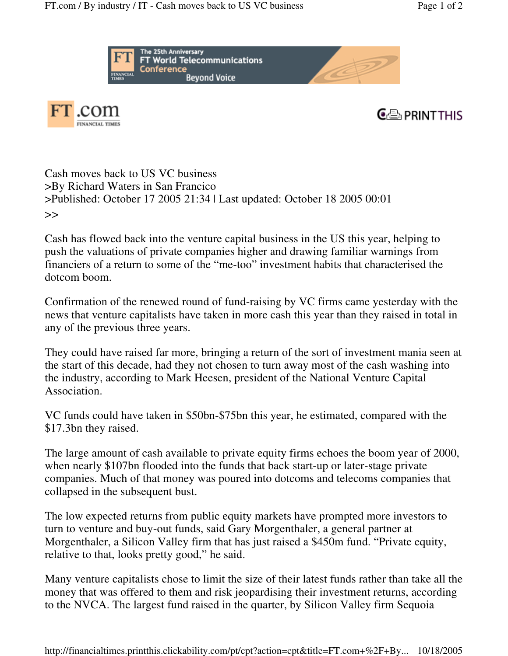





Cash moves back to US VC business >By Richard Waters in San Francico >Published: October 17 2005 21:34 | Last updated: October 18 2005 00:01 >>

Cash has flowed back into the venture capital business in the US this year, helping to push the valuations of private companies higher and drawing familiar warnings from financiers of a return to some of the "me-too" investment habits that characterised the dotcom boom.

Confirmation of the renewed round of fund-raising by VC firms came yesterday with the news that venture capitalists have taken in more cash this year than they raised in total in any of the previous three years.

They could have raised far more, bringing a return of the sort of investment mania seen at the start of this decade, had they not chosen to turn away most of the cash washing into the industry, according to Mark Heesen, president of the National Venture Capital Association.

VC funds could have taken in \$50bn-\$75bn this year, he estimated, compared with the \$17.3bn they raised.

The large amount of cash available to private equity firms echoes the boom year of 2000, when nearly \$107bn flooded into the funds that back start-up or later-stage private companies. Much of that money was poured into dotcoms and telecoms companies that collapsed in the subsequent bust.

The low expected returns from public equity markets have prompted more investors to turn to venture and buy-out funds, said Gary Morgenthaler, a general partner at Morgenthaler, a Silicon Valley firm that has just raised a \$450m fund. "Private equity, relative to that, looks pretty good," he said.

Many venture capitalists chose to limit the size of their latest funds rather than take all the money that was offered to them and risk jeopardising their investment returns, according to the NVCA. The largest fund raised in the quarter, by Silicon Valley firm Sequoia